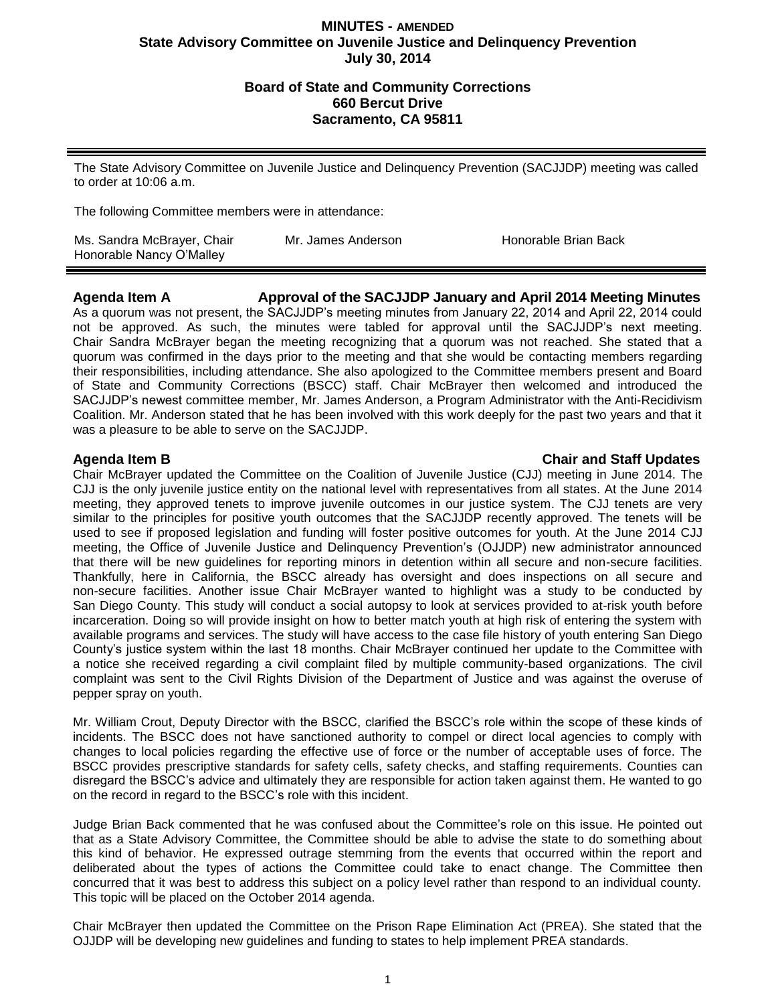## **Board of State and Community Corrections 660 Bercut Drive Sacramento, CA 95811**

The State Advisory Committee on Juvenile Justice and Delinquency Prevention (SACJJDP) meeting was called to order at 10:06 a.m.

The following Committee members were in attendance:

| Ms. Sandra McBrayer, Chair | Mr. James Anderson | Honorable Brian Back |
|----------------------------|--------------------|----------------------|
| Honorable Nancy O'Malley   |                    |                      |

**Agenda Item A Approval of the SACJJDP January and April 2014 Meeting Minutes** As a quorum was not present, the SACJJDP's meeting minutes from January 22, 2014 and April 22, 2014 could not be approved. As such, the minutes were tabled for approval until the SACJJDP's next meeting. Chair Sandra McBrayer began the meeting recognizing that a quorum was not reached. She stated that a quorum was confirmed in the days prior to the meeting and that she would be contacting members regarding their responsibilities, including attendance. She also apologized to the Committee members present and Board of State and Community Corrections (BSCC) staff. Chair McBrayer then welcomed and introduced the SACJJDP's newest committee member, Mr. James Anderson, a Program Administrator with the Anti-Recidivism Coalition. Mr. Anderson stated that he has been involved with this work deeply for the past two years and that it was a pleasure to be able to serve on the SACJJDP.

### **Agenda Item B Chair and Staff Updates**

Chair McBrayer updated the Committee on the Coalition of Juvenile Justice (CJJ) meeting in June 2014. The CJJ is the only juvenile justice entity on the national level with representatives from all states. At the June 2014 meeting, they approved tenets to improve juvenile outcomes in our justice system. The CJJ tenets are very similar to the principles for positive youth outcomes that the SACJJDP recently approved. The tenets will be used to see if proposed legislation and funding will foster positive outcomes for youth. At the June 2014 CJJ meeting, the Office of Juvenile Justice and Delinquency Prevention's (OJJDP) new administrator announced that there will be new guidelines for reporting minors in detention within all secure and non-secure facilities. Thankfully, here in California, the BSCC already has oversight and does inspections on all secure and non-secure facilities. Another issue Chair McBrayer wanted to highlight was a study to be conducted by San Diego County. This study will conduct a social autopsy to look at services provided to at-risk youth before incarceration. Doing so will provide insight on how to better match youth at high risk of entering the system with available programs and services. The study will have access to the case file history of youth entering San Diego County's justice system within the last 18 months. Chair McBrayer continued her update to the Committee with a notice she received regarding a civil complaint filed by multiple community-based organizations. The civil complaint was sent to the Civil Rights Division of the Department of Justice and was against the overuse of pepper spray on youth.

Mr. William Crout, Deputy Director with the BSCC, clarified the BSCC's role within the scope of these kinds of incidents. The BSCC does not have sanctioned authority to compel or direct local agencies to comply with changes to local policies regarding the effective use of force or the number of acceptable uses of force. The BSCC provides prescriptive standards for safety cells, safety checks, and staffing requirements. Counties can disregard the BSCC's advice and ultimately they are responsible for action taken against them. He wanted to go on the record in regard to the BSCC's role with this incident.

Judge Brian Back commented that he was confused about the Committee's role on this issue. He pointed out that as a State Advisory Committee, the Committee should be able to advise the state to do something about this kind of behavior. He expressed outrage stemming from the events that occurred within the report and deliberated about the types of actions the Committee could take to enact change. The Committee then concurred that it was best to address this subject on a policy level rather than respond to an individual county. This topic will be placed on the October 2014 agenda.

Chair McBrayer then updated the Committee on the Prison Rape Elimination Act (PREA). She stated that the OJJDP will be developing new guidelines and funding to states to help implement PREA standards.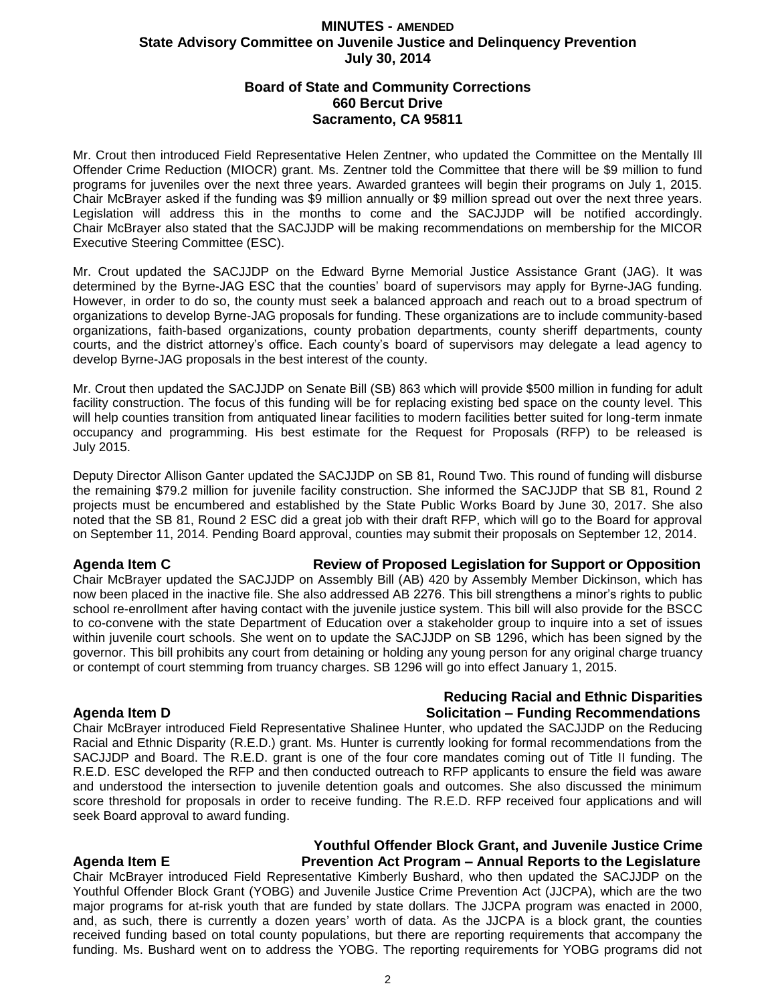## **Board of State and Community Corrections 660 Bercut Drive Sacramento, CA 95811**

Mr. Crout then introduced Field Representative Helen Zentner, who updated the Committee on the Mentally Ill Offender Crime Reduction (MIOCR) grant. Ms. Zentner told the Committee that there will be \$9 million to fund programs for juveniles over the next three years. Awarded grantees will begin their programs on July 1, 2015. Chair McBrayer asked if the funding was \$9 million annually or \$9 million spread out over the next three years. Legislation will address this in the months to come and the SACJJDP will be notified accordingly. Chair McBrayer also stated that the SACJJDP will be making recommendations on membership for the MICOR Executive Steering Committee (ESC).

Mr. Crout updated the SACJJDP on the Edward Byrne Memorial Justice Assistance Grant (JAG). It was determined by the Byrne-JAG ESC that the counties' board of supervisors may apply for Byrne-JAG funding. However, in order to do so, the county must seek a balanced approach and reach out to a broad spectrum of organizations to develop Byrne-JAG proposals for funding. These organizations are to include community-based organizations, faith-based organizations, county probation departments, county sheriff departments, county courts, and the district attorney's office. Each county's board of supervisors may delegate a lead agency to develop Byrne-JAG proposals in the best interest of the county.

Mr. Crout then updated the SACJJDP on Senate Bill (SB) 863 which will provide \$500 million in funding for adult facility construction. The focus of this funding will be for replacing existing bed space on the county level. This will help counties transition from antiquated linear facilities to modern facilities better suited for long-term inmate occupancy and programming. His best estimate for the Request for Proposals (RFP) to be released is July 2015.

Deputy Director Allison Ganter updated the SACJJDP on SB 81, Round Two. This round of funding will disburse the remaining \$79.2 million for juvenile facility construction. She informed the SACJJDP that SB 81, Round 2 projects must be encumbered and established by the State Public Works Board by June 30, 2017. She also noted that the SB 81, Round 2 ESC did a great job with their draft RFP, which will go to the Board for approval on September 11, 2014. Pending Board approval, counties may submit their proposals on September 12, 2014.

### **Agenda Item C Review of Proposed Legislation for Support or Opposition**

Chair McBrayer updated the SACJJDP on Assembly Bill (AB) 420 by Assembly Member Dickinson, which has now been placed in the inactive file. She also addressed AB 2276. This bill strengthens a minor's rights to public school re-enrollment after having contact with the juvenile justice system. This bill will also provide for the BSCC to co-convene with the state Department of Education over a stakeholder group to inquire into a set of issues within juvenile court schools. She went on to update the SACJJDP on SB 1296, which has been signed by the governor. This bill prohibits any court from detaining or holding any young person for any original charge truancy or contempt of court stemming from truancy charges. SB 1296 will go into effect January 1, 2015.

### **Reducing Racial and Ethnic Disparities Agenda Item D Solicitation – Funding Recommendations**

Chair McBrayer introduced Field Representative Shalinee Hunter, who updated the SACJJDP on the Reducing Racial and Ethnic Disparity (R.E.D.) grant. Ms. Hunter is currently looking for formal recommendations from the SACJJDP and Board. The R.E.D. grant is one of the four core mandates coming out of Title II funding. The R.E.D. ESC developed the RFP and then conducted outreach to RFP applicants to ensure the field was aware and understood the intersection to juvenile detention goals and outcomes. She also discussed the minimum score threshold for proposals in order to receive funding. The R.E.D. RFP received four applications and will seek Board approval to award funding.

## **Youthful Offender Block Grant, and Juvenile Justice Crime Agenda Item E Prevention Act Program – Annual Reports to the Legislature**

Chair McBrayer introduced Field Representative Kimberly Bushard, who then updated the SACJJDP on the Youthful Offender Block Grant (YOBG) and Juvenile Justice Crime Prevention Act (JJCPA), which are the two major programs for at-risk youth that are funded by state dollars. The JJCPA program was enacted in 2000, and, as such, there is currently a dozen years' worth of data. As the JJCPA is a block grant, the counties received funding based on total county populations, but there are reporting requirements that accompany the funding. Ms. Bushard went on to address the YOBG. The reporting requirements for YOBG programs did not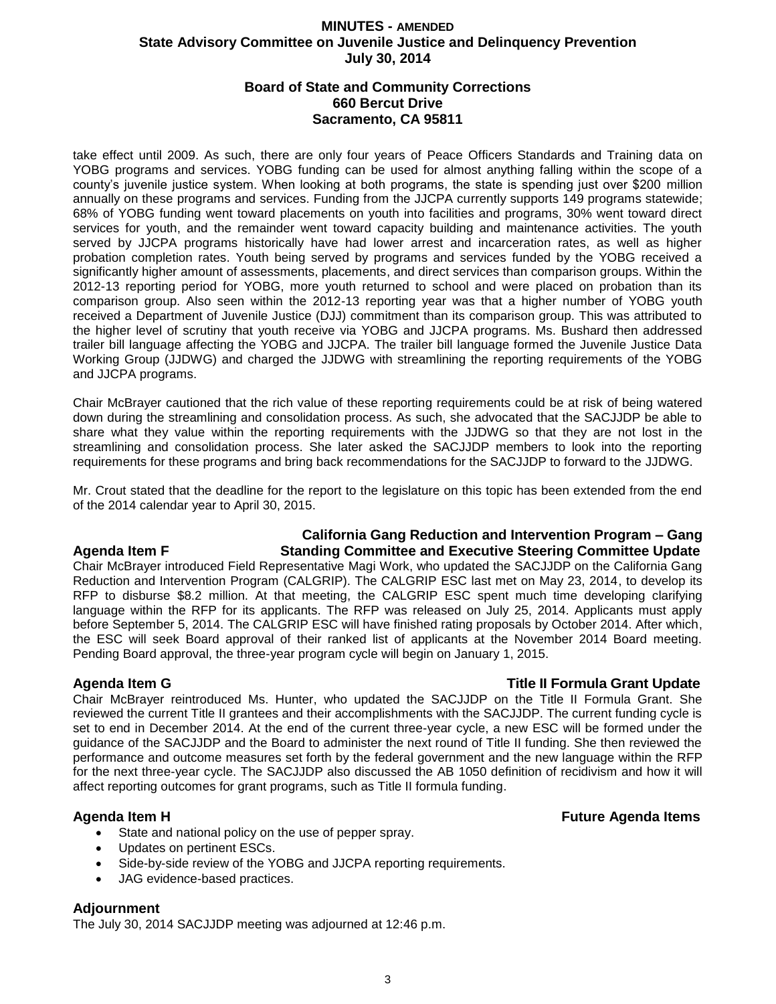## **Board of State and Community Corrections 660 Bercut Drive Sacramento, CA 95811**

take effect until 2009. As such, there are only four years of Peace Officers Standards and Training data on YOBG programs and services. YOBG funding can be used for almost anything falling within the scope of a county's juvenile justice system. When looking at both programs, the state is spending just over \$200 million annually on these programs and services. Funding from the JJCPA currently supports 149 programs statewide; 68% of YOBG funding went toward placements on youth into facilities and programs, 30% went toward direct services for youth, and the remainder went toward capacity building and maintenance activities. The youth served by JJCPA programs historically have had lower arrest and incarceration rates, as well as higher probation completion rates. Youth being served by programs and services funded by the YOBG received a significantly higher amount of assessments, placements, and direct services than comparison groups. Within the 2012-13 reporting period for YOBG, more youth returned to school and were placed on probation than its comparison group. Also seen within the 2012-13 reporting year was that a higher number of YOBG youth received a Department of Juvenile Justice (DJJ) commitment than its comparison group. This was attributed to the higher level of scrutiny that youth receive via YOBG and JJCPA programs. Ms. Bushard then addressed trailer bill language affecting the YOBG and JJCPA. The trailer bill language formed the Juvenile Justice Data Working Group (JJDWG) and charged the JJDWG with streamlining the reporting requirements of the YOBG and JJCPA programs.

Chair McBrayer cautioned that the rich value of these reporting requirements could be at risk of being watered down during the streamlining and consolidation process. As such, she advocated that the SACJJDP be able to share what they value within the reporting requirements with the JJDWG so that they are not lost in the streamlining and consolidation process. She later asked the SACJJDP members to look into the reporting requirements for these programs and bring back recommendations for the SACJJDP to forward to the JJDWG.

Mr. Crout stated that the deadline for the report to the legislature on this topic has been extended from the end of the 2014 calendar year to April 30, 2015.

# **California Gang Reduction and Intervention Program – Gang Agenda Item F Standing Committee and Executive Steering Committee Update**

Chair McBrayer introduced Field Representative Magi Work, who updated the SACJJDP on the California Gang Reduction and Intervention Program (CALGRIP). The CALGRIP ESC last met on May 23, 2014, to develop its RFP to disburse \$8.2 million. At that meeting, the CALGRIP ESC spent much time developing clarifying language within the RFP for its applicants. The RFP was released on July 25, 2014. Applicants must apply before September 5, 2014. The CALGRIP ESC will have finished rating proposals by October 2014. After which, the ESC will seek Board approval of their ranked list of applicants at the November 2014 Board meeting. Pending Board approval, the three-year program cycle will begin on January 1, 2015.

## **Agenda Item G Title II Formula Grant Update**

Chair McBrayer reintroduced Ms. Hunter, who updated the SACJJDP on the Title II Formula Grant. She reviewed the current Title II grantees and their accomplishments with the SACJJDP. The current funding cycle is set to end in December 2014. At the end of the current three-year cycle, a new ESC will be formed under the guidance of the SACJJDP and the Board to administer the next round of Title II funding. She then reviewed the performance and outcome measures set forth by the federal government and the new language within the RFP for the next three-year cycle. The SACJJDP also discussed the AB 1050 definition of recidivism and how it will affect reporting outcomes for grant programs, such as Title II formula funding.

- State and national policy on the use of pepper spray.
- Updates on pertinent ESCs.
- Side-by-side review of the YOBG and JJCPA reporting requirements.
- JAG evidence-based practices.

## **Adjournment**

The July 30, 2014 SACJJDP meeting was adjourned at 12:46 p.m.

## **Agenda Item H Future Agenda Items**